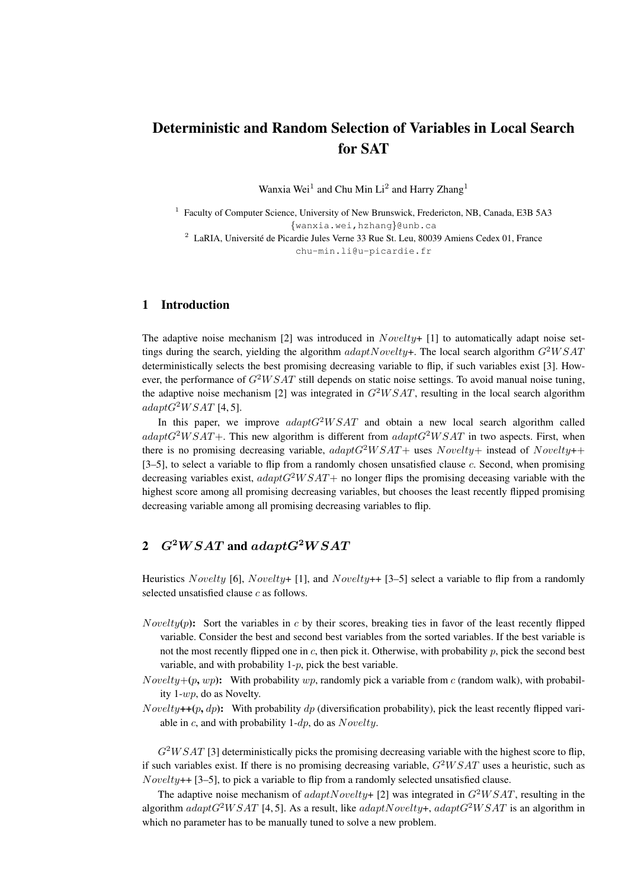# Deterministic and Random Selection of Variables in Local Search for SAT

Wanxia Wei<sup>1</sup> and Chu Min Li<sup>2</sup> and Harry Zhang<sup>1</sup>

<sup>1</sup> Faculty of Computer Science, University of New Brunswick, Fredericton, NB, Canada, E3B 5A3 {wanxia.wei,hzhang}@unb.ca  $2$  LaRIA, Université de Picardie Jules Verne 33 Rue St. Leu, 80039 Amiens Cedex 01, France

chu-min.li@u-picardie.fr

### 1 Introduction

The adaptive noise mechanism [2] was introduced in  $Novelty+$  [1] to automatically adapt noise settings during the search, yielding the algorithm  $adaptNovelty+$ . The local search algorithm  $G^2WSAT$ deterministically selects the best promising decreasing variable to flip, if such variables exist [3]. However, the performance of  $G<sup>2</sup>WSAT$  still depends on static noise settings. To avoid manual noise tuning, the adaptive noise mechanism [2] was integrated in  $G^2WSAT$ , resulting in the local search algorithm  $adaptG^2WSAT$  [4, 5].

In this paper, we improve  $adaptG^2WSAT$  and obtain a new local search algorithm called  $adaptG<sup>2</sup>WSAT+$ . This new algorithm is different from  $adaptG<sup>2</sup>WSAT$  in two aspects. First, when there is no promising decreasing variable,  $adaptG^2WSAT+$  uses  $Nowelly+$  instead of  $Nowelly++$ [3–5], to select a variable to flip from a randomly chosen unsatisfied clause  $c$ . Second, when promising decreasing variables exist,  $adaptG^2WSAT+$  no longer flips the promising deceasing variable with the highest score among all promising decreasing variables, but chooses the least recently flipped promising decreasing variable among all promising decreasing variables to flip.

# 2  $G^2WSAT$  and  $adaptG^2WSAT$

Heuristics Novelty [6], Novelty+ [1], and Novelty++ [3–5] select a variable to flip from a randomly selected unsatisfied clause  $c$  as follows.

- *Novelty(p)*: Sort the variables in c by their scores, breaking ties in favor of the least recently flipped variable. Consider the best and second best variables from the sorted variables. If the best variable is not the most recently flipped one in  $c$ , then pick it. Otherwise, with probability  $p$ , pick the second best variable, and with probability  $1-p$ , pick the best variable.
- *Novelty*+ $(p, wp)$ : With probability wp, randomly pick a variable from c (random walk), with probability 1-wp, do as Novelty.
- Novelty++(p, dp): With probability dp (diversification probability), pick the least recently flipped variable in c, and with probability  $1-dp$ , do as  $Noveltu$ .

 $G<sup>2</sup>WSAT$  [3] deterministically picks the promising decreasing variable with the highest score to flip, if such variables exist. If there is no promising decreasing variable,  $G<sup>2</sup>WSAT$  uses a heuristic, such as  $Novelty++$  [3–5], to pick a variable to flip from a randomly selected unsatisfied clause.

The adaptive noise mechanism of  $adaptNoveltu+ [2]$  was integrated in  $G^2WSAT$ , resulting in the algorithm adaptG<sup>2</sup>W SAT [4, 5]. As a result, like adaptNovelty+, adaptG<sup>2</sup>W SAT is an algorithm in which no parameter has to be manually tuned to solve a new problem.